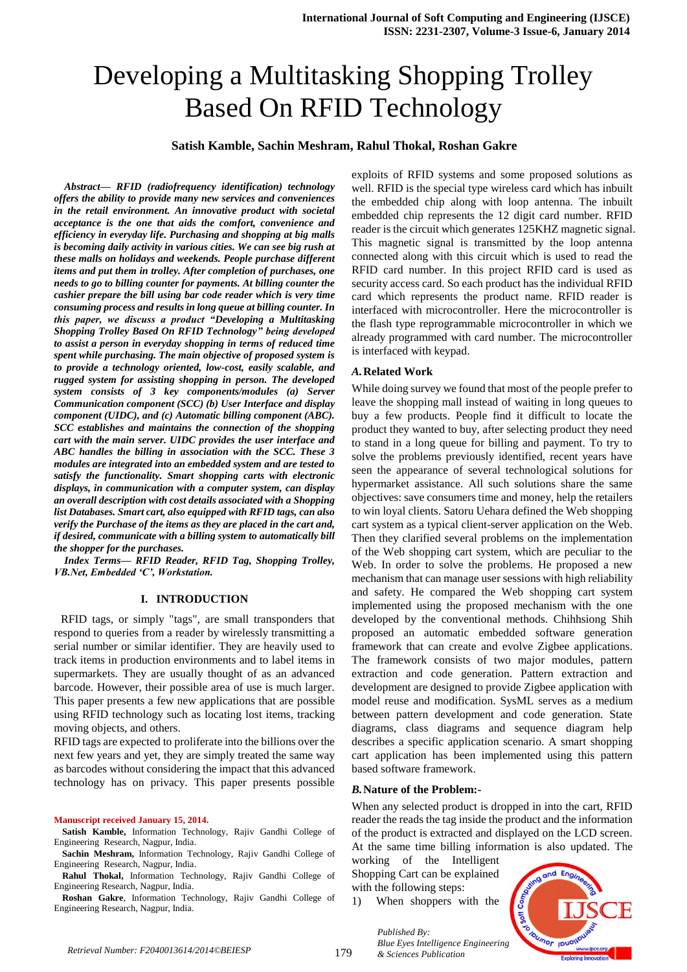# Developing a Multitasking Shopping Trolley Based On RFID Technology

## **Satish Kamble, Sachin Meshram, Rahul Thokal, Roshan Gakre**

*Abstract— RFID (radiofrequency identification) technology offers the ability to provide many new services and conveniences in the retail environment. An innovative product with societal acceptance is the one that aids the comfort, convenience and efficiency in everyday life. Purchasing and shopping at big malls is becoming daily activity in various cities. We can see big rush at these malls on holidays and weekends. People purchase different items and put them in trolley. After completion of purchases, one needs to go to billing counter for payments. At billing counter the cashier prepare the bill using bar code reader which is very time consuming process and results in long queue at billing counter. In this paper, we discuss a product "Developing a Multitasking Shopping Trolley Based On RFID Technology" being developed to assist a person in everyday shopping in terms of reduced time spent while purchasing. The main objective of proposed system is to provide a technology oriented, low-cost, easily scalable, and rugged system for assisting shopping in person. The developed system consists of 3 key components/modules (a) Server Communication component (SCC) (b) User Interface and display component (UIDC), and (c) Automatic billing component (ABC). SCC establishes and maintains the connection of the shopping cart with the main server. UIDC provides the user interface and ABC handles the billing in association with the SCC. These 3 modules are integrated into an embedded system and are tested to satisfy the functionality. Smart shopping carts with electronic displays, in communication with a computer system, can display an overall description with cost details associated with a Shopping list Databases. Smart cart, also equipped with RFID tags, can also verify the Purchase of the items as they are placed in the cart and, if desired, communicate with a billing system to automatically bill the shopper for the purchases.*

*Index Terms— RFID Reader, RFID Tag, Shopping Trolley, VB.Net, Embedded 'C', Workstation.*

## **I. INTRODUCTION**

 RFID tags, or simply "tags", are small transponders that respond to queries from a reader by wirelessly transmitting a serial number or similar identifier. They are heavily used to track items in production environments and to label items in supermarkets. They are usually thought of as an advanced barcode. However, their possible area of use is much larger. This paper presents a few new applications that are possible using RFID technology such as locating lost items, tracking moving objects, and others.

RFID tags are expected to proliferate into the billions over the next few years and yet, they are simply treated the same way as barcodes without considering the impact that this advanced technology has on privacy. This paper presents possible

#### **Manuscript received January 15, 2014.**

**Satish Kamble,** Information Technology, Rajiv Gandhi College of Engineering Research, Nagpur, India.

**Sachin Meshram,** Information Technology, Rajiv Gandhi College of Engineering Research, Nagpur, India.

**Rahul Thokal,** Information Technology, Rajiv Gandhi College of Engineering Research, Nagpur, India.

**Roshan Gakre**, Information Technology, Rajiv Gandhi College of Engineering Research, Nagpur, India.

exploits of RFID systems and some proposed solutions as well. RFID is the special type wireless card which has inbuilt the embedded chip along with loop antenna. The inbuilt embedded chip represents the 12 digit card number. RFID reader is the circuit which generates 125KHZ magnetic signal. This magnetic signal is transmitted by the loop antenna connected along with this circuit which is used to read the RFID card number. In this project RFID card is used as security access card. So each product has the individual RFID card which represents the product name. RFID reader is interfaced with microcontroller. Here the microcontroller is the flash type reprogrammable microcontroller in which we already programmed with card number. The microcontroller is interfaced with keypad.

#### *A.***Related Work**

While doing survey we found that most of the people prefer to leave the shopping mall instead of waiting in long queues to buy a few products. People find it difficult to locate the product they wanted to buy, after selecting product they need to stand in a long queue for billing and payment. To try to solve the problems previously identified, recent years have seen the appearance of several technological solutions for hypermarket assistance. All such solutions share the same objectives: save consumers time and money, help the retailers to win loyal clients. Satoru Uehara defined the Web shopping cart system as a typical client-server application on the Web. Then they clarified several problems on the implementation of the Web shopping cart system, which are peculiar to the Web. In order to solve the problems. He proposed a new mechanism that can manage user sessions with high reliability and safety. He compared the Web shopping cart system implemented using the proposed mechanism with the one developed by the conventional methods. Chihhsiong Shih proposed an automatic embedded software generation framework that can create and evolve Zigbee applications. The framework consists of two major modules, pattern extraction and code generation. Pattern extraction and development are designed to provide Zigbee application with model reuse and modification. SysML serves as a medium between pattern development and code generation. State diagrams, class diagrams and sequence diagram help describes a specific application scenario. A smart shopping cart application has been implemented using this pattern based software framework.

### *B.***Nature of the Problem:-**

When any selected product is dropped in into the cart, RFID reader the reads the tag inside the product and the information of the product is extracted and displayed on the LCD screen. At the same time billing information is also updated. The

working of the Intelligent Shopping Cart can be explained with the following steps:

1) When shoppers with the



*Published By: Blue Eyes Intelligence Engineering & Sciences Publication*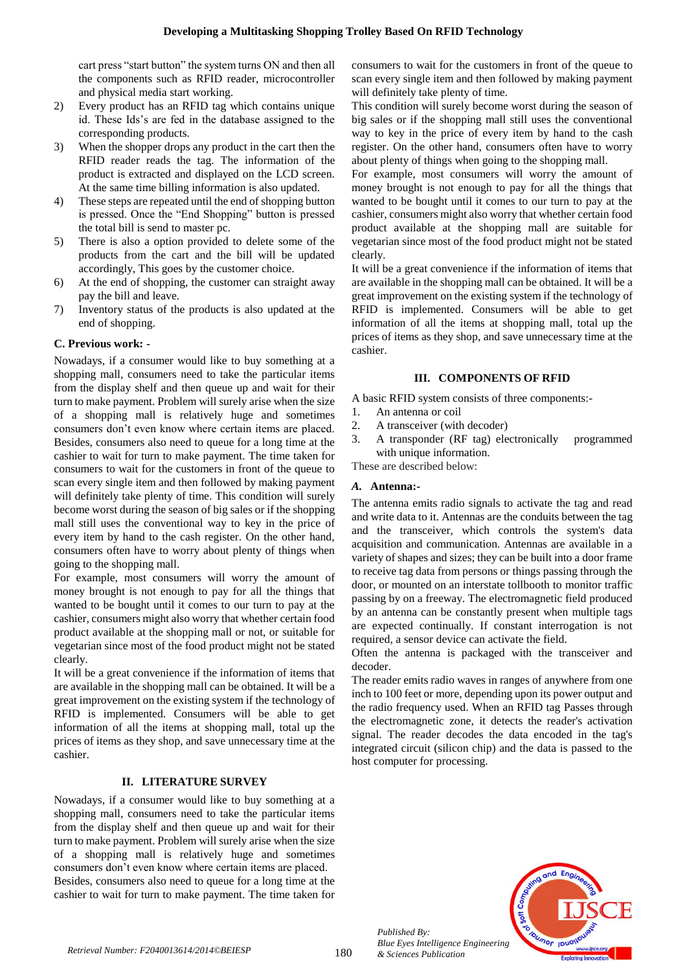cart press "start button" the system turns ON and then all the components such as RFID reader, microcontroller and physical media start working.

- 2) Every product has an RFID tag which contains unique id. These Ids's are fed in the database assigned to the corresponding products.
- 3) When the shopper drops any product in the cart then the RFID reader reads the tag. The information of the product is extracted and displayed on the LCD screen. At the same time billing information is also updated.
- 4) These steps are repeated until the end of shopping button is pressed. Once the "End Shopping" button is pressed the total bill is send to master pc.
- 5) There is also a option provided to delete some of the products from the cart and the bill will be updated accordingly, This goes by the customer choice.
- 6) At the end of shopping, the customer can straight away pay the bill and leave.
- 7) Inventory status of the products is also updated at the end of shopping.

# **C. Previous work: -**

Nowadays, if a consumer would like to buy something at a shopping mall, consumers need to take the particular items from the display shelf and then queue up and wait for their turn to make payment. Problem will surely arise when the size of a shopping mall is relatively huge and sometimes consumers don't even know where certain items are placed. Besides, consumers also need to queue for a long time at the cashier to wait for turn to make payment. The time taken for consumers to wait for the customers in front of the queue to scan every single item and then followed by making payment will definitely take plenty of time. This condition will surely become worst during the season of big sales or if the shopping mall still uses the conventional way to key in the price of every item by hand to the cash register. On the other hand, consumers often have to worry about plenty of things when going to the shopping mall.

For example, most consumers will worry the amount of money brought is not enough to pay for all the things that wanted to be bought until it comes to our turn to pay at the cashier, consumers might also worry that whether certain food product available at the shopping mall or not, or suitable for vegetarian since most of the food product might not be stated clearly.

It will be a great convenience if the information of items that are available in the shopping mall can be obtained. It will be a great improvement on the existing system if the technology of RFID is implemented. Consumers will be able to get information of all the items at shopping mall, total up the prices of items as they shop, and save unnecessary time at the cashier.

# **II. LITERATURE SURVEY**

Nowadays, if a consumer would like to buy something at a shopping mall, consumers need to take the particular items from the display shelf and then queue up and wait for their turn to make payment. Problem will surely arise when the size of a shopping mall is relatively huge and sometimes consumers don't even know where certain items are placed. Besides, consumers also need to queue for a long time at the cashier to wait for turn to make payment. The time taken for consumers to wait for the customers in front of the queue to scan every single item and then followed by making payment will definitely take plenty of time.

This condition will surely become worst during the season of big sales or if the shopping mall still uses the conventional way to key in the price of every item by hand to the cash register. On the other hand, consumers often have to worry about plenty of things when going to the shopping mall.

For example, most consumers will worry the amount of money brought is not enough to pay for all the things that wanted to be bought until it comes to our turn to pay at the cashier, consumers might also worry that whether certain food product available at the shopping mall are suitable for vegetarian since most of the food product might not be stated clearly.

It will be a great convenience if the information of items that are available in the shopping mall can be obtained. It will be a great improvement on the existing system if the technology of RFID is implemented. Consumers will be able to get information of all the items at shopping mall, total up the prices of items as they shop, and save unnecessary time at the cashier.

# **III. COMPONENTS OF RFID**

A basic RFID system consists of three components:-

- 1. An antenna or coil
- 2. A transceiver (with decoder)
- 3. A transponder (RF tag) electronically programmed with unique information.

These are described below:

# *A.* **Antenna:-**

The antenna emits radio signals to activate the tag and read and write data to it. Antennas are the conduits between the tag and the transceiver, which controls the system's data acquisition and communication. Antennas are available in a variety of shapes and sizes; they can be built into a door frame to receive tag data from persons or things passing through the door, or mounted on an interstate tollbooth to monitor traffic passing by on a freeway. The electromagnetic field produced by an antenna can be constantly present when multiple tags are expected continually. If constant interrogation is not required, a sensor device can activate the field.

Often the antenna is packaged with the transceiver and decoder.

The reader emits radio waves in ranges of anywhere from one inch to 100 feet or more, depending upon its power output and the radio frequency used. When an RFID tag Passes through the electromagnetic zone, it detects the reader's activation signal. The reader decodes the data encoded in the tag's integrated circuit (silicon chip) and the data is passed to the host computer for processing.



*Published By: Blue Eyes Intelligence Engineering & Sciences Publication*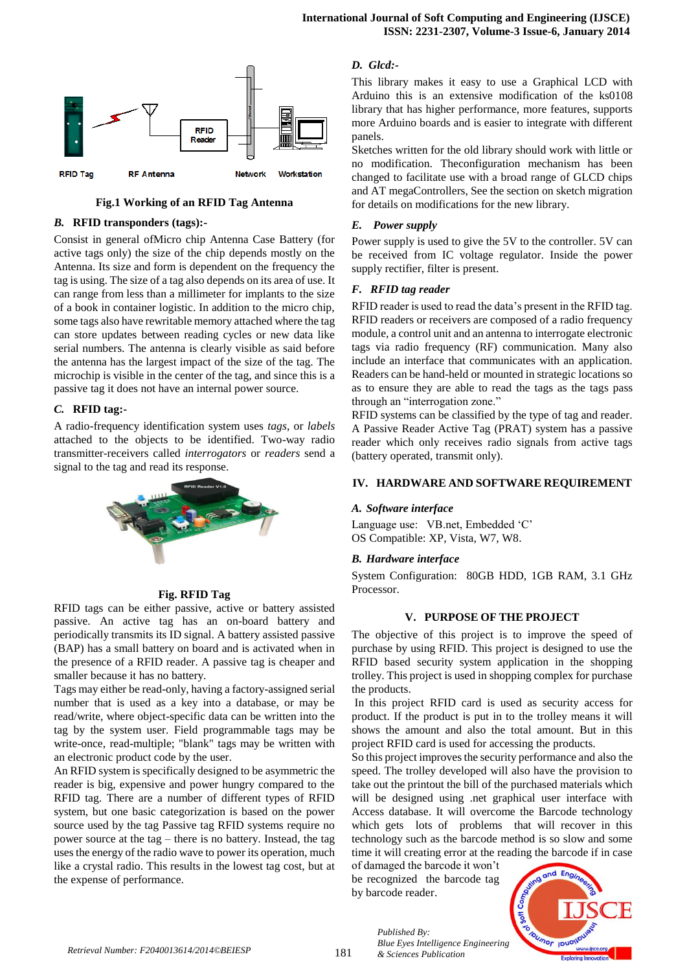

**Fig.1 Working of an RFID Tag Antenna**

#### *B.* **RFID transponders (tags):-**

Consist in general ofMicro chip Antenna Case Battery (for active tags only) the size of the chip depends mostly on the Antenna. Its size and form is dependent on the frequency the tag is using. The size of a tag also depends on its area of use. It can range from less than a millimeter for implants to the size of a book in container logistic. In addition to the micro chip, some tags also have rewritable memory attached where the tag can store updates between reading cycles or new data like serial numbers. The antenna is clearly visible as said before the antenna has the largest impact of the size of the tag. The microchip is visible in the center of the tag, and since this is a passive tag it does not have an internal power source.

## *C.* **RFID tag:-**

A radio-frequency identification system uses *tags*, or *labels* attached to the objects to be identified. Two-way radio transmitter-receivers called *interrogators* or *readers* send a signal to the tag and read its response.



### **Fig. RFID Tag**

RFID tags can be either passive, active or battery assisted passive. An active tag has an on-board battery and periodically transmits its ID signal. A battery assisted passive (BAP) has a small battery on board and is activated when in the presence of a RFID reader. A passive tag is cheaper and smaller because it has no battery.

Tags may either be read-only, having a factory-assigned serial number that is used as a key into a database, or may be read/write, where object-specific data can be written into the tag by the system user. Field programmable tags may be write-once, read-multiple; "blank" tags may be written with an electronic product code by the user.

An RFID system is specifically designed to be asymmetric the reader is big, expensive and power hungry compared to the RFID tag. There are a number of different types of RFID system, but one basic categorization is based on the power source used by the tag Passive tag RFID systems require no power source at the tag – there is no battery. Instead, the tag uses the energy of the radio wave to power its operation, much like a crystal radio. This results in the lowest tag cost, but at the expense of performance.

## *D. Glcd:-*

This library makes it easy to use a Graphical LCD with Arduino this is an extensive modification of the ks0108 library that has higher performance, more features, supports more Arduino boards and is easier to integrate with different panels.

Sketches written for the old library should work with little or no modification. Theconfiguration mechanism has been changed to facilitate use with a broad range of GLCD chips and AT megaControllers, See the section on sketch migration for details on modifications for the new library.

#### *E. Power supply*

Power supply is used to give the 5V to the controller. 5V can be received from IC voltage regulator. Inside the power supply rectifier, filter is present.

#### *F. RFID tag reader*

RFID reader is used to read the data's present in the RFID tag. RFID readers or receivers are composed of a radio frequency module, a control unit and an antenna to interrogate electronic tags via radio frequency (RF) communication. Many also include an interface that communicates with an application. Readers can be hand-held or mounted in strategic locations so as to ensure they are able to read the tags as the tags pass through an "interrogation zone."

RFID systems can be classified by the type of tag and reader. A Passive Reader Active Tag (PRAT) system has a passive reader which only receives radio signals from active tags (battery operated, transmit only).

#### **IV. HARDWARE AND SOFTWARE REQUIREMENT**

#### *A. Software interface*

Language use: VB.net, Embedded 'C' OS Compatible: XP, Vista, W7, W8.

#### *B. Hardware interface*

System Configuration: 80GB HDD, 1GB RAM, 3.1 GHz Processor.

## **V. PURPOSE OF THE PROJECT**

The objective of this project is to improve the speed of purchase by using RFID. This project is designed to use the RFID based security system application in the shopping trolley. This project is used in shopping complex for purchase the products.

In this project RFID card is used as security access for product. If the product is put in to the trolley means it will shows the amount and also the total amount. But in this project RFID card is used for accessing the products.

So this project improves the security performance and also the speed. The trolley developed will also have the provision to take out the printout the bill of the purchased materials which will be designed using .net graphical user interface with Access database. It will overcome the Barcode technology which gets lots of problems that will recover in this technology such as the barcode method is so slow and some time it will creating error at the reading the barcode if in case

of damaged the barcode it won't be recognized the barcode tag by barcode reader.



*Published By: Blue Eyes Intelligence Engineering & Sciences Publication*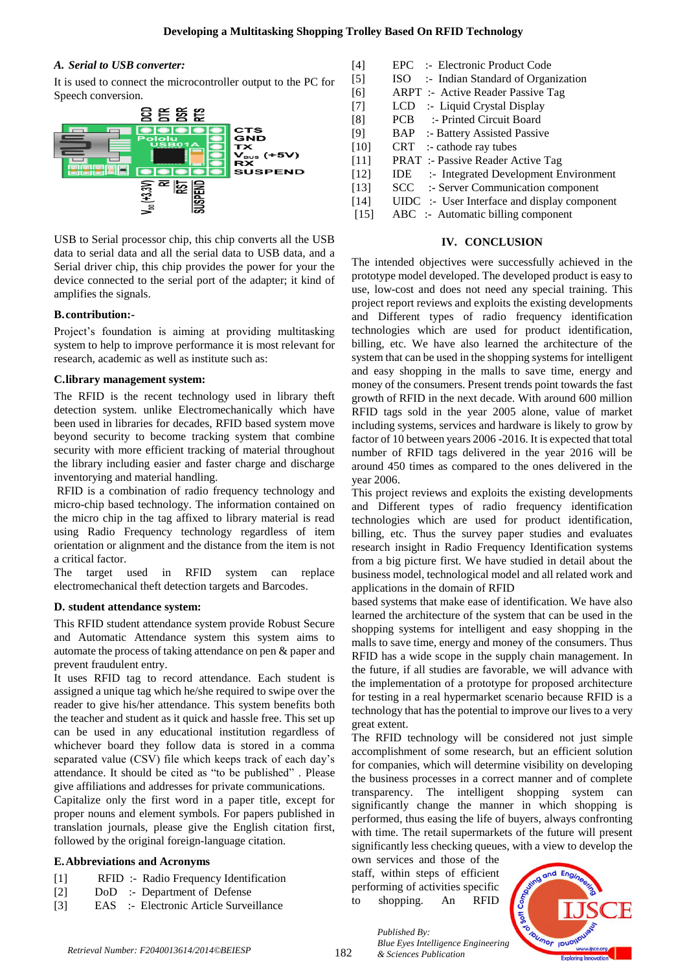## *A. Serial to USB converter:*

It is used to connect the microcontroller output to the PC for Speech conversion.



USB to Serial processor chip, this chip converts all the USB data to serial data and all the serial data to USB data, and a Serial driver chip, this chip provides the power for your the device connected to the serial port of the adapter; it kind of amplifies the signals.

## **B.contribution:-**

Project's foundation is aiming at providing multitasking system to help to improve performance it is most relevant for research, academic as well as institute such as:

## **C.library management system:**

The RFID is the recent technology used in library theft detection system. unlike Electromechanically which have been used in libraries for decades, RFID based system move beyond security to become tracking system that combine security with more efficient tracking of material throughout the library including easier and faster charge and discharge inventorying and material handling.

RFID is a combination of radio frequency technology and micro-chip based technology. The information contained on the micro chip in the tag affixed to library material is read using Radio Frequency technology regardless of item orientation or alignment and the distance from the item is not a critical factor.

The target used in RFID system can replace electromechanical theft detection targets and Barcodes.

## **D. student attendance system:**

This RFID student attendance system provide Robust Secure and Automatic Attendance system this system aims to automate the process of taking attendance on pen & paper and prevent fraudulent entry.

It uses RFID tag to record attendance. Each student is assigned a unique tag which he/she required to swipe over the reader to give his/her attendance. This system benefits both the teacher and student as it quick and hassle free. This set up can be used in any educational institution regardless of whichever board they follow data is stored in a comma separated value (CSV) file which keeps track of each day's attendance. It should be cited as "to be published" . Please give affiliations and addresses for private communications.

Capitalize only the first word in a paper title, except for proper nouns and element symbols. For papers published in translation journals, please give the English citation first, followed by the original foreign-language citation.

## **E.Abbreviations and Acronyms**

- [1] RFID :- Radio Frequency Identification
- [2] DoD :- Department of Defense
- [3] EAS :- Electronic Article Surveillance

| $[4]$             | EPC :- Electronic Product Code                   |
|-------------------|--------------------------------------------------|
| $\lceil 5 \rceil$ | ISO :- Indian Standard of Organization           |
| [6]               | <b>ARPT</b> :- Active Reader Passive Tag         |
| $[7]$             | LCD :- Liquid Crystal Display                    |
| [8]               | PCB :- Printed Circuit Board                     |
| [9]               | <b>BAP</b> :- Battery Assisted Passive           |
| $[10]$            | $CRT$ :- cathode ray tubes                       |
| $[11]$            | <b>PRAT</b> :- Passive Reader Active Tag         |
| $[12]$            | <b>IDE</b> :- Integrated Development Environment |
| $[13]$            | SCC :- Server Communication component            |
| $[14]$            | UIDC :- User Interface and display component     |
| $[15]$            | $ABC$ :- Automatic billing component             |
|                   |                                                  |

## **IV. CONCLUSION**

The intended objectives were successfully achieved in the prototype model developed. The developed product is easy to use, low-cost and does not need any special training. This project report reviews and exploits the existing developments and Different types of radio frequency identification technologies which are used for product identification, billing, etc. We have also learned the architecture of the system that can be used in the shopping systems for intelligent and easy shopping in the malls to save time, energy and money of the consumers. Present trends point towards the fast growth of RFID in the next decade. With around 600 million RFID tags sold in the year 2005 alone, value of market including systems, services and hardware is likely to grow by factor of 10 between years 2006 -2016. It is expected that total number of RFID tags delivered in the year 2016 will be around 450 times as compared to the ones delivered in the year 2006.

This project reviews and exploits the existing developments and Different types of radio frequency identification technologies which are used for product identification, billing, etc. Thus the survey paper studies and evaluates research insight in Radio Frequency Identification systems from a big picture first. We have studied in detail about the business model, technological model and all related work and applications in the domain of RFID

based systems that make ease of identification. We have also learned the architecture of the system that can be used in the shopping systems for intelligent and easy shopping in the malls to save time, energy and money of the consumers. Thus RFID has a wide scope in the supply chain management. In the future, if all studies are favorable, we will advance with the implementation of a prototype for proposed architecture for testing in a real hypermarket scenario because RFID is a technology that has the potential to improve our lives to a very great extent.

The RFID technology will be considered not just simple accomplishment of some research, but an efficient solution for companies, which will determine visibility on developing the business processes in a correct manner and of complete transparency. The intelligent shopping system can significantly change the manner in which shopping is performed, thus easing the life of buyers, always confronting with time. The retail supermarkets of the future will present significantly less checking queues, with a view to develop the

own services and those of the staff, within steps of efficient performing of activities specific to shopping. An RFID

*Published By:*

*& Sciences Publication*